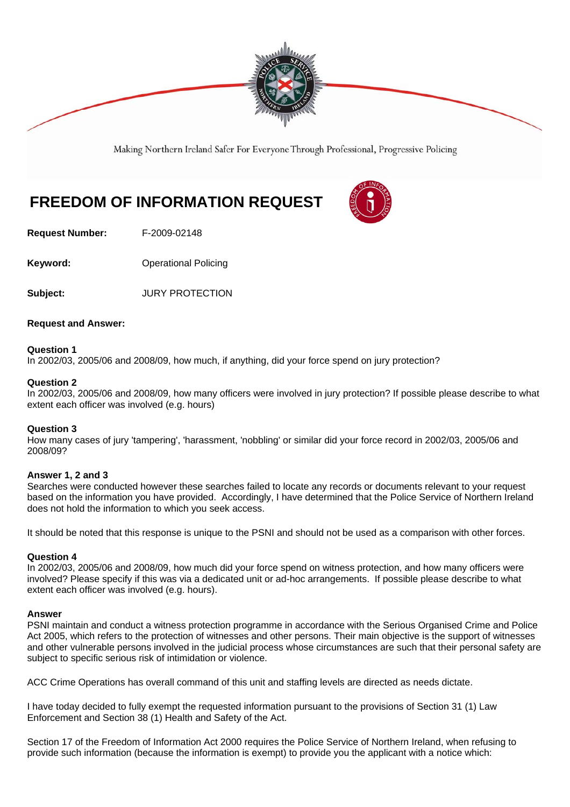

Making Northern Ireland Safer For Everyone Through Professional, Progressive Policing

# **FREEDOM OF INFORMATION REQUEST**

**Request Number:** F-2009-02148

**Keyword: Conservery Operational Policing** 

**Subject:** JURY PROTECTION

## **Request and Answer:**

## **Question 1**

In 2002/03, 2005/06 and 2008/09, how much, if anything, did your force spend on jury protection?

#### **Question 2**

In 2002/03, 2005/06 and 2008/09, how many officers were involved in jury protection? If possible please describe to what extent each officer was involved (e.g. hours)

#### **Question 3**

How many cases of jury 'tampering', 'harassment, 'nobbling' or similar did your force record in 2002/03, 2005/06 and 2008/09?

#### **Answer 1, 2 and 3**

Searches were conducted however these searches failed to locate any records or documents relevant to your request based on the information you have provided. Accordingly, I have determined that the Police Service of Northern Ireland does not hold the information to which you seek access.

It should be noted that this response is unique to the PSNI and should not be used as a comparison with other forces.

#### **Question 4**

In 2002/03, 2005/06 and 2008/09, how much did your force spend on witness protection, and how many officers were involved? Please specify if this was via a dedicated unit or ad-hoc arrangements. If possible please describe to what extent each officer was involved (e.g. hours).

#### **Answer**

PSNI maintain and conduct a witness protection programme in accordance with the Serious Organised Crime and Police Act 2005, which refers to the protection of witnesses and other persons. Their main objective is the support of witnesses and other vulnerable persons involved in the judicial process whose circumstances are such that their personal safety are subject to specific serious risk of intimidation or violence.

ACC Crime Operations has overall command of this unit and staffing levels are directed as needs dictate.

I have today decided to fully exempt the requested information pursuant to the provisions of Section 31 (1) Law Enforcement and Section 38 (1) Health and Safety of the Act.

Section 17 of the Freedom of Information Act 2000 requires the Police Service of Northern Ireland, when refusing to provide such information (because the information is exempt) to provide you the applicant with a notice which: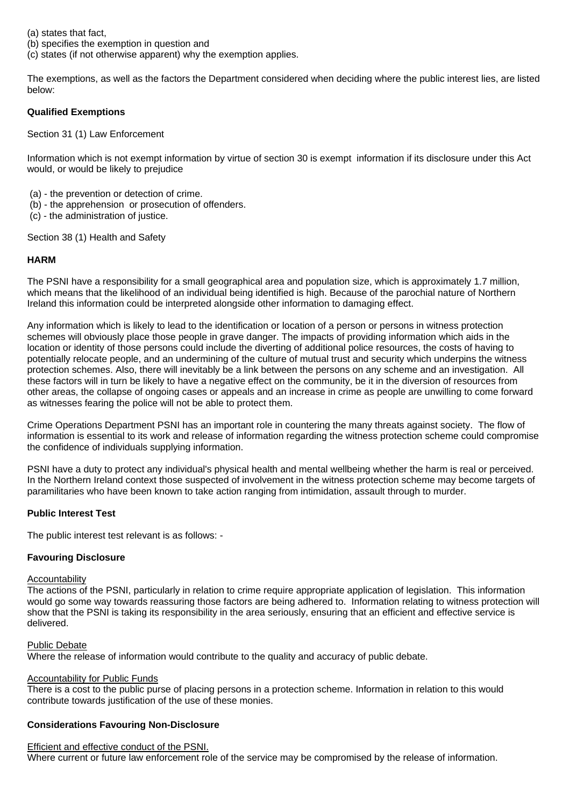(a) states that fact,

(b) specifies the exemption in question and

(c) states (if not otherwise apparent) why the exemption applies.

The exemptions, as well as the factors the Department considered when deciding where the public interest lies, are listed below:

# **Qualified Exemptions**

Section 31 (1) Law Enforcement

Information which is not exempt information by virtue of section 30 is exempt information if its disclosure under this Act would, or would be likely to prejudice

- (a) the prevention or detection of crime.
- (b) the apprehension or prosecution of offenders.
- (c) the administration of justice.

Section 38 (1) Health and Safety

# **HARM**

The PSNI have a responsibility for a small geographical area and population size, which is approximately 1.7 million, which means that the likelihood of an individual being identified is high. Because of the parochial nature of Northern Ireland this information could be interpreted alongside other information to damaging effect.

Any information which is likely to lead to the identification or location of a person or persons in witness protection schemes will obviously place those people in grave danger. The impacts of providing information which aids in the location or identity of those persons could include the diverting of additional police resources, the costs of having to potentially relocate people, and an undermining of the culture of mutual trust and security which underpins the witness protection schemes. Also, there will inevitably be a link between the persons on any scheme and an investigation. All these factors will in turn be likely to have a negative effect on the community, be it in the diversion of resources from other areas, the collapse of ongoing cases or appeals and an increase in crime as people are unwilling to come forward as witnesses fearing the police will not be able to protect them.

Crime Operations Department PSNI has an important role in countering the many threats against society. The flow of information is essential to its work and release of information regarding the witness protection scheme could compromise the confidence of individuals supplying information.

PSNI have a duty to protect any individual's physical health and mental wellbeing whether the harm is real or perceived. In the Northern Ireland context those suspected of involvement in the witness protection scheme may become targets of paramilitaries who have been known to take action ranging from intimidation, assault through to murder.

# **Public Interest Test**

The public interest test relevant is as follows: -

# **Favouring Disclosure**

#### **Accountability**

The actions of the PSNI, particularly in relation to crime require appropriate application of legislation. This information would go some way towards reassuring those factors are being adhered to. Information relating to witness protection will show that the PSNI is taking its responsibility in the area seriously, ensuring that an efficient and effective service is delivered.

#### Public Debate

Where the release of information would contribute to the quality and accuracy of public debate.

## Accountability for Public Funds

There is a cost to the public purse of placing persons in a protection scheme. Information in relation to this would contribute towards justification of the use of these monies.

#### **Considerations Favouring Non-Disclosure**

#### Efficient and effective conduct of the PSNI.

Where current or future law enforcement role of the service may be compromised by the release of information.